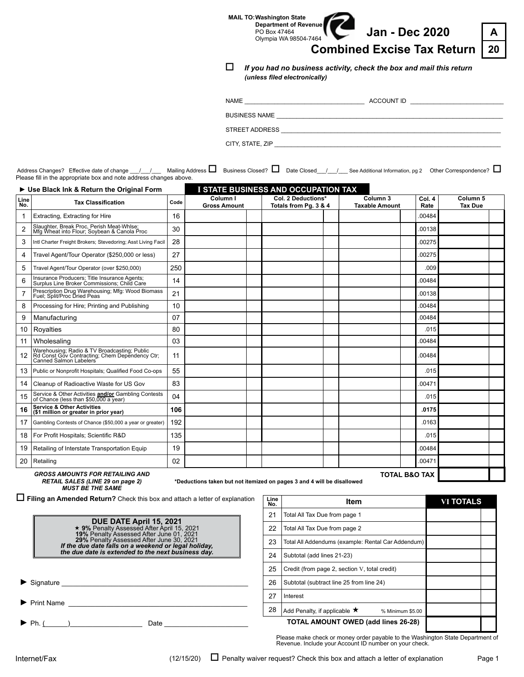| <b>MAIL TO: Washington State</b>                                                        |  |
|-----------------------------------------------------------------------------------------|--|
| Department of Revenue<br><b>Jan - Dec 2020</b><br>PO Box 47464<br>Olympia WA 98504-7464 |  |
| Combined Excise Tax Return   20                                                         |  |
| If you had no business activity, check the box and mail this return                     |  |

 *(unless filed electronically)*

| <b>NAME</b>          | <b>ACCOUNT ID</b> |
|----------------------|-------------------|
| <b>BUSINESS NAME</b> |                   |

STREET ADDRESS \_\_\_\_\_\_\_\_\_\_\_\_\_\_\_\_\_\_\_\_\_\_\_\_\_\_\_\_\_\_\_\_\_\_\_\_\_\_\_\_\_\_\_\_\_\_\_\_\_\_\_\_\_\_\_\_\_\_\_\_\_\_\_\_\_\_

CITY, STATE, ZIP \_\_\_\_\_\_\_\_\_\_\_\_\_\_\_\_\_\_\_\_\_\_\_\_\_\_\_\_\_\_\_\_\_\_\_\_\_\_\_\_\_\_\_\_\_\_\_\_\_\_\_\_\_\_\_\_\_\_\_\_\_\_\_\_\_\_\_\_

Address Changes? Effective date of change \_\_\_/\_\_\_\_\_ Mailing Address Dosed? Dosed? Date Closed\_\_\_/\_\_\_\_\_\_ See Additional Information, pg 2 Other Correspondence? D Please fill in the appropriate box and note address changes above.

|                | ► Use Black Ink & Return the Original Form                                                                               |      |                                 | I STATE BUSINESS AND OCCUPATION TAX         |                                              |                |                                       |  |
|----------------|--------------------------------------------------------------------------------------------------------------------------|------|---------------------------------|---------------------------------------------|----------------------------------------------|----------------|---------------------------------------|--|
| Line<br>No.    | <b>Tax Classification</b>                                                                                                | Code | Column I<br><b>Gross Amount</b> | Col. 2 Deductions*<br>Totals from Pg. 3 & 4 | Column <sub>3</sub><br><b>Taxable Amount</b> | Col. 4<br>Rate | Column <sub>5</sub><br><b>Tax Due</b> |  |
| 1              | Extracting, Extracting for Hire                                                                                          | 16   |                                 |                                             |                                              | 00484          |                                       |  |
| $\overline{c}$ | Slaughter, Break Proc, Perish Meat-Whlse;<br>Mfg Wheat into Flour; Soybean & Canola Proc                                 | 30   |                                 |                                             |                                              | 00138          |                                       |  |
| 3              | Intl Charter Freight Brokers; Stevedoring; Asst Living Facil                                                             | 28   |                                 |                                             |                                              | 00275          |                                       |  |
| 4              | Travel Agent/Tour Operator (\$250,000 or less)                                                                           | 27   |                                 |                                             |                                              | 00275          |                                       |  |
| 5              | Travel Agent/Tour Operator (over \$250,000)                                                                              | 250  |                                 |                                             |                                              | .009           |                                       |  |
| 6              | Insurance Producers; Title Insurance Agents;<br>Surplus Line Broker Commissions; Child Care                              | 14   |                                 |                                             |                                              | 00484          |                                       |  |
| 7              | Prescription Drug Warehousing; Mfg: Wood Biomass<br>Fuel; Split/Proc Dried Peas                                          | 21   |                                 |                                             |                                              | .00138         |                                       |  |
| 8              | Processing for Hire; Printing and Publishing                                                                             | 10   |                                 |                                             |                                              | 00484          |                                       |  |
| 9              | Manufacturing                                                                                                            | 07   |                                 |                                             |                                              | 00484          |                                       |  |
| 10             | Royalties                                                                                                                | 80   |                                 |                                             |                                              | .015           |                                       |  |
| 11             | Wholesaling                                                                                                              | 03   |                                 |                                             |                                              | 00484          |                                       |  |
| 12             | Warehousing; Radio & TV Broadcasting; Public<br>Rd Const Gov Contracting; Chem Dependency Ctr;<br>Canned Salmon Labelers | 11   |                                 |                                             |                                              | 00484          |                                       |  |
| 13             | Public or Nonprofit Hospitals; Qualified Food Co-ops                                                                     | 55   |                                 |                                             |                                              | .015           |                                       |  |
| 14             | Cleanup of Radioactive Waste for US Gov                                                                                  | 83   |                                 |                                             |                                              | 00471          |                                       |  |
| 15             | Service & Other Activities <b>and/or</b> Gambling Contests<br>of Chance (less than \$50,000 a year)                      | 04   |                                 |                                             |                                              | .015           |                                       |  |
| 16             | <b>Service &amp; Other Activities</b><br>(\$1 million or greater in prior year)                                          | 106  |                                 |                                             |                                              | .0175          |                                       |  |
| 17             | Gambling Contests of Chance (\$50,000 a year or greater)                                                                 | 192  |                                 |                                             |                                              | .0163          |                                       |  |
| 18             | For Profit Hospitals; Scientific R&D                                                                                     | 135  |                                 |                                             |                                              | .015           |                                       |  |
| 19             | Retailing of Interstate Transportation Equip                                                                             | 19   |                                 |                                             |                                              | 00484          |                                       |  |
| 20             | Retailing                                                                                                                | 02   |                                 |                                             |                                              | 00471          |                                       |  |
|                | <b>GROSS AMOUNTS FOR RETAILING AND</b>                                                                                   |      |                                 |                                             | <b>TOTAL B&amp;O TAX</b>                     |                |                                       |  |

*GROSS AMOUNTS FOR RETAILING AND RETAIL SALES (LINE 29 on page 2) MUST BE THE SAME*

**\*Deductions taken but not itemized on pages 3 and 4 will be disallowed**

**Line** 

o **Filing an Amended Return?** Check this box and attach a letter of explanation

|                                                                                                                   | 21 | Total All Tax Due from page 1                                                  |  |
|-------------------------------------------------------------------------------------------------------------------|----|--------------------------------------------------------------------------------|--|
| DUE DATE April 15, 2021<br>★ 9% Penalty Assessed After April 15, 2021<br>19% Penalty Assessed After June 01, 2021 | 22 | Total All Tax Due from page 2                                                  |  |
| 29% Penalty Assessed After June 30, 2021<br>If the due date falls on a weekend or legal holiday,                  | 23 | Total All Addendums (example: Rental Car Addendum)                             |  |
| the due date is extended to the next business day.                                                                | 24 | Subtotal (add lines 21-23)                                                     |  |
|                                                                                                                   | 25 | Credit (from page 2, section V, total credit)                                  |  |
| $\blacktriangleright$ Signature                                                                                   | 26 | Subtotal (subtract line 25 from line 24)                                       |  |
| $\blacktriangleright$ Print Name                                                                                  | 27 | l Interest                                                                     |  |
|                                                                                                                   | 28 | Add Penalty, if applicable $\bigstar$<br>% Minimum \$5.00                      |  |
| $\blacktriangleright$ Ph. ( )<br>Date                                                                             |    | <b>TOTAL AMOUNT OWED (add lines 26-28)</b>                                     |  |
|                                                                                                                   |    | Please make check or money order payable to the Washington State Department of |  |

Please make check or money order payable to the Washington State Department of Revenue. Include your Account ID number on your check.

**No. Item VI TOTALS**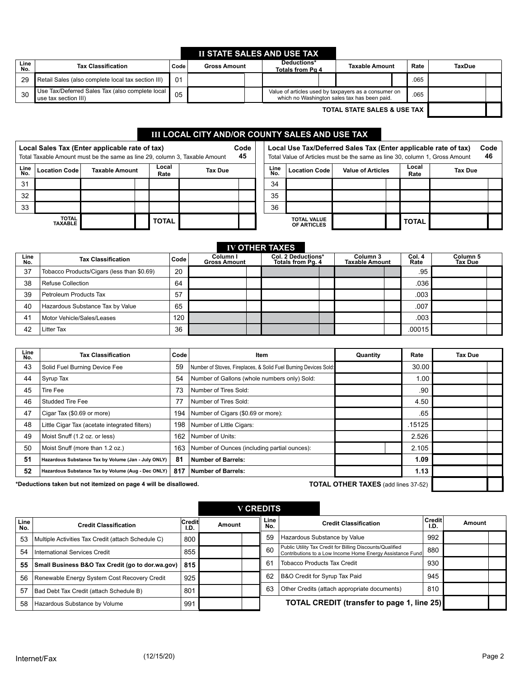# **II STATE SALES AND USE TAX**

| Line<br>No. | <b>Tax Classification</b>                                               | Code | <b>Gross Amount</b> | Deductions*<br><b>Totals from Pg 4</b> | <b>Taxable Amount</b>                                                                                | Rate | <b>TaxDue</b> |  |
|-------------|-------------------------------------------------------------------------|------|---------------------|----------------------------------------|------------------------------------------------------------------------------------------------------|------|---------------|--|
| 29          | Retail Sales (also complete local tax section III)                      | 01   |                     |                                        |                                                                                                      | .065 |               |  |
| 30          | Use Tax/Deferred Sales Tax (also complete local<br>use tax section III) | 05   |                     |                                        | Value of articles used by taxpayers as a consumer on<br>which no Washington sales tax has been paid. | .065 |               |  |
|             |                                                                         |      |                     |                                        | <b>TOTAL STATE SALES &amp; USE TAX</b>                                                               |      |               |  |

## **III LOCAL CITY AND/OR COUNTY SALES AND USE TAX**

|             |                                | Local Sales Tax (Enter applicable rate of tax)<br>Total Taxable Amount must be the same as line 29, column 3, Taxable Amount |               |         | Code<br>45 |             |                                   | Local Use Tax/Deferred Sales Tax (Enter applicable rate of tax)<br>Total Value of Articles must be the same as line 30, column 1, Gross Amount |               |         | Code<br>46 |
|-------------|--------------------------------|------------------------------------------------------------------------------------------------------------------------------|---------------|---------|------------|-------------|-----------------------------------|------------------------------------------------------------------------------------------------------------------------------------------------|---------------|---------|------------|
| Line<br>No. | <b>Location Code</b>           | <b>Taxable Amount</b>                                                                                                        | Local<br>Rate | Tax Due |            | Line<br>No. | <b>Location Code</b>              | <b>Value of Articles</b>                                                                                                                       | Local<br>Rate | Tax Due |            |
| 31          |                                |                                                                                                                              |               |         |            | 34          |                                   |                                                                                                                                                |               |         |            |
| 32          |                                |                                                                                                                              |               |         |            | 35          |                                   |                                                                                                                                                |               |         |            |
| 33          |                                |                                                                                                                              |               |         |            | 36          |                                   |                                                                                                                                                |               |         |            |
|             | <b>TOTAL</b><br><b>TAXABLE</b> |                                                                                                                              | <b>TOTAL</b>  |         |            |             | <b>TOTAL VALUE</b><br>OF ARTICLES |                                                                                                                                                | <b>TOTAL</b>  |         |            |

|             |                                            |      |                                 | <b>IV OTHER TAXES</b>                   |                                   |                |                     |
|-------------|--------------------------------------------|------|---------------------------------|-----------------------------------------|-----------------------------------|----------------|---------------------|
| Line<br>No. | <b>Tax Classification</b>                  | Code | Column I<br><b>Gross Amount</b> | Col. 2 Deductions*<br>Totals from Pg. 4 | Column 3<br><b>Taxable Amount</b> | Col. 4<br>Rate | Column 5<br>Tax Due |
| 37          | Tobacco Products/Cigars (less than \$0.69) | 20   |                                 |                                         |                                   | .95            |                     |
| 38          | <b>Refuse Collection</b>                   | 64   |                                 |                                         |                                   | .036           |                     |
| 39          | Petroleum Products Tax                     | 57   |                                 |                                         |                                   | .003           |                     |
| 40          | Hazardous Substance Tax by Value           | 65   |                                 |                                         |                                   | .007           |                     |
| 41          | Motor Vehicle/Sales/Leases                 | 120  |                                 |                                         |                                   | .003           |                     |
| 42          | Litter Tax                                 | 36   |                                 |                                         |                                   | .00015         |                     |

| Line<br>No. | <b>Tax Classification</b>                                        | Code | Item                                                             | Quantity                                   | Rate   | Tax Due |
|-------------|------------------------------------------------------------------|------|------------------------------------------------------------------|--------------------------------------------|--------|---------|
| 43          | Solid Fuel Burning Device Fee                                    | 59   | Number of Stoves, Fireplaces, & Solid Fuel Burning Devices Sold: |                                            | 30.00  |         |
| 44          | Syrup Tax                                                        | 54   | Number of Gallons (whole numbers only) Sold:                     |                                            | 1.00   |         |
| 45          | Tire Fee                                                         | 73   | Number of Tires Sold:                                            |                                            | .90    |         |
| 46          | Studded Tire Fee                                                 | 77   | Number of Tires Sold:                                            |                                            | 4.50   |         |
| 47          | Cigar Tax (\$0.69 or more)                                       | 194  | Number of Cigars (\$0.69 or more):                               |                                            | .65    |         |
| 48          | Little Cigar Tax (acetate integrated filters)                    | 198  | Number of Little Cigars:                                         |                                            | .15125 |         |
| 49          | Moist Snuff (1.2 oz. or less)                                    | 162  | Number of Units:                                                 |                                            | 2.526  |         |
| 50          | Moist Snuff (more than 1.2 oz.)                                  | 163  | Number of Ounces (including partial ounces):                     |                                            | 2.105  |         |
| 51          | Hazardous Substance Tax by Volume (Jan - July ONLY)              | 81   | <b>Number of Barrels:</b>                                        |                                            | 1.09   |         |
| 52          | Hazardous Substance Tax by Volume (Aug - Dec ONLY)               | 817  | <b>Number of Barrels:</b>                                        |                                            | 1.13   |         |
|             | *Deductions taken but not itemized on page 4 will be disallowed. |      |                                                                  | <b>TOTAL OTHER TAXES</b> (add lines 37-52) |        |         |

|             |                                                    |                |        | <b>V CREDITS</b> |                                    |                                                                                                                        |                       |        |  |
|-------------|----------------------------------------------------|----------------|--------|------------------|------------------------------------|------------------------------------------------------------------------------------------------------------------------|-----------------------|--------|--|
| Line<br>No. | <b>Credit Classification</b>                       | Credit<br>I.D. | Amount | Line<br>No.      |                                    | <b>Credit Classification</b>                                                                                           | <b>Credit</b><br>I.D. | Amount |  |
| 53          | Multiple Activities Tax Credit (attach Schedule C) | 800            |        | 59               |                                    | Hazardous Substance by Value                                                                                           | 992                   |        |  |
| 54          | International Services Credit                      | 855            |        | 60               |                                    | Public Utility Tax Credit for Billing Discounts/Qualified<br>Contributions to a Low Income Home Energy Assistance Fund | 880                   |        |  |
| 55          | Small Business B&O Tax Credit (go to dor.wa.gov)   | 815            |        | 61               | <b>Tobacco Products Tax Credit</b> |                                                                                                                        | 930                   |        |  |
| 56          | Renewable Energy System Cost Recovery Credit       | 925            |        | 62               |                                    | B&O Credit for Syrup Tax Paid                                                                                          | 945                   |        |  |
| 57          | Bad Debt Tax Credit (attach Schedule B)            | 801            |        | 63               |                                    | Other Credits (attach appropriate documents)                                                                           | 810                   |        |  |
| 58          | Hazardous Substance by Volume                      | 991            |        |                  |                                    | <b>TOTAL CREDIT (transfer to page 1, line 25)</b>                                                                      |                       |        |  |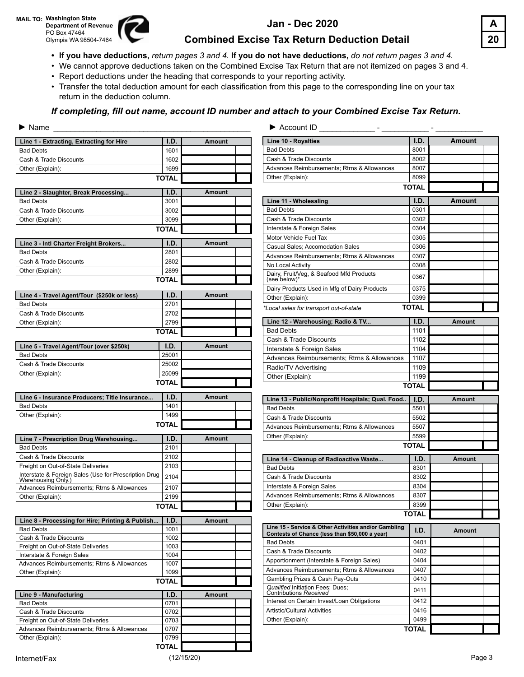

## $Jan - Dec 2020$



- **• If you have deductions,** *return pages 3 and 4.* **If you do not have deductions,** *do not return pages 3 and 4.*
- We cannot approve deductions taken on the Combined Excise Tax Return that are not itemized on pages 3 and 4.
- Report deductions under the heading that corresponds to your reporting activity.
- Transfer the total deduction amount for each classification from this page to the corresponding line on your tax return in the deduction column.

### *If completing, fill out name, account ID number and attach to your Combined Excise Tax Return.*

| $\triangleright$ Name                                                       |                      |               |                                                            |              |               |
|-----------------------------------------------------------------------------|----------------------|---------------|------------------------------------------------------------|--------------|---------------|
| Line 1 - Extracting, Extracting for Hire                                    | I.D.                 | <b>Amount</b> | Line 10 - Royalties                                        | I.D.         | <b>Amount</b> |
| <b>Bad Debts</b>                                                            | 1601                 |               | <b>Bad Debts</b>                                           | 8001         |               |
| Cash & Trade Discounts                                                      | 1602                 |               | Cash & Trade Discounts                                     | 8002         |               |
| Other (Explain):                                                            | 1699                 |               | Advances Reimbursements; Rtrns & Allowances                | 8007         |               |
|                                                                             | <b>TOTAL</b>         |               | Other (Explain):                                           | 8099         |               |
|                                                                             | I.D.                 | <b>Amount</b> |                                                            | <b>TOTAL</b> |               |
| Line 2 - Slaughter, Break Processing<br><b>Bad Debts</b>                    | 3001                 |               | Line 11 - Wholesaling                                      | I.D.         | Amount        |
| Cash & Trade Discounts                                                      | 3002                 |               | <b>Bad Debts</b>                                           | 0301         |               |
| Other (Explain):                                                            | 3099                 |               | Cash & Trade Discounts                                     | 0302         |               |
|                                                                             | <b>TOTAL</b>         |               | Interstate & Foreign Sales                                 | 0304         |               |
|                                                                             |                      |               | Motor Vehicle Fuel Tax                                     | 0305         |               |
| Line 3 - Intl Charter Freight Brokers                                       | I.D.                 | Amount        | Casual Sales; Accomodation Sales                           | 0306         |               |
| <b>Bad Debts</b>                                                            | 2801                 |               | Advances Reimbursements; Rtrns & Allowances                | 0307         |               |
| Cash & Trade Discounts                                                      | 2802                 |               | No Local Activity                                          | 0308         |               |
| Other (Explain):                                                            | 2899                 |               | Dairy, Fruit/Veg, & Seafood Mfd Products                   | 0367         |               |
|                                                                             | <b>TOTAL</b>         |               | (see below)*                                               |              |               |
| Line 4 - Travel Agent/Tour (\$250k or less)                                 | I.D.                 | <b>Amount</b> | Dairy Products Used in Mfg of Dairy Products               | 0375         |               |
| <b>Bad Debts</b>                                                            | 2701                 |               | Other (Explain):                                           | 0399         |               |
| Cash & Trade Discounts                                                      | 2702                 |               | *Local sales for transport out-of-state                    | <b>TOTAL</b> |               |
| Other (Explain):                                                            | 2799                 |               | Line 12 - Warehousing; Radio & TV                          | I.D.         | Amount        |
|                                                                             | <b>TOTAL</b>         |               | <b>Bad Debts</b>                                           | 1101         |               |
|                                                                             |                      |               | Cash & Trade Discounts                                     | 1102         |               |
| Line 5 - Travel Agent/Tour (over \$250k)                                    | I.D.                 | <b>Amount</b> | Interstate & Foreign Sales                                 | 1104         |               |
| <b>Bad Debts</b>                                                            | 25001                |               | Advances Reimbursements; Rtrns & Allowances                | 1107         |               |
| Cash & Trade Discounts                                                      | 25002                |               | Radio/TV Advertising                                       | 1109         |               |
| Other (Explain):                                                            | 25099                |               | Other (Explain):                                           | 1199         |               |
|                                                                             | <b>TOTAL</b>         |               |                                                            | <b>TOTAL</b> |               |
|                                                                             |                      |               |                                                            |              |               |
| Line 6 - Insurance Producers; Title Insurance                               | I.D.                 | Amount        |                                                            |              |               |
| <b>Bad Debts</b>                                                            | 1401                 |               | Line 13 - Public/Nonprofit Hospitals; Qual. Food.          | I.D.         | Amount        |
| Other (Explain):                                                            | 1499                 |               | <b>Bad Debts</b>                                           | 5501         |               |
|                                                                             | <b>TOTAL</b>         |               | Cash & Trade Discounts                                     | 5502         |               |
|                                                                             |                      |               | Advances Reimbursements; Rtrns & Allowances                | 5507<br>5599 |               |
| Line 7 - Prescription Drug Warehousing                                      | I.D.                 | Amount        | Other (Explain):                                           |              |               |
| <b>Bad Debts</b>                                                            | 2101                 |               |                                                            | <b>TOTAL</b> |               |
| Cash & Trade Discounts                                                      | 2102                 |               | Line 14 - Cleanup of Radioactive Waste                     | I.D.         | Amount        |
| Freight on Out-of-State Deliveries                                          | 2103                 |               | <b>Bad Debts</b>                                           | 8301         |               |
| Interstate & Foreign Sales (Use for Prescription Drug<br>Warehousing Only.) | 2104                 |               | Cash & Trade Discounts                                     | 8302         |               |
| Advances Reimbursements; Rtrns & Allowances                                 | 2107                 |               | Interstate & Foreign Sales                                 | 8304         |               |
| Other (Explain):                                                            | 2199                 |               | Advances Reimbursements; Rtrns & Allowances                | 8307         |               |
|                                                                             | TOTAL                |               | Other (Explain):                                           | 8399         |               |
| Line 8 - Processing for Hire; Printing & Publish                            | I.D.                 | Amount        |                                                            | <b>TOTAL</b> |               |
| <b>Bad Debts</b>                                                            | 1001                 |               | Line 15 - Service & Other Activities and/or Gambling       | I.D.         | Amount        |
| Cash & Trade Discounts                                                      | 1002                 |               | Contests of Chance (less than \$50,000 a year)             |              |               |
| Freight on Out-of-State Deliveries                                          | 1003                 |               | <b>Bad Debts</b>                                           | 0401         |               |
| Interstate & Foreign Sales                                                  | 1004                 |               | Cash & Trade Discounts                                     | 0402         |               |
| Advances Reimbursements; Rtrns & Allowances                                 | 1007                 |               | Apportionment (Interstate & Foreign Sales)                 | 0404         |               |
| Other (Explain):                                                            | 1099                 |               | Advances Reimbursements; Rtrns & Allowances                | 0407         |               |
|                                                                             | <b>TOTAL</b>         |               | Gambling Prizes & Cash Pay-Outs                            | 0410         |               |
| Line 9 - Manufacturing                                                      | I.D.                 | Amount        | Qualified Initiation Fees; Dues;<br>Contributions Received | 0411         |               |
| <b>Bad Debts</b>                                                            | 0701                 |               | Interest on Certain Invest/Loan Obligations                | 0412         |               |
| Cash & Trade Discounts                                                      | 0702                 |               | Artistic/Cultural Activities                               | 0416         |               |
| Freight on Out-of-State Deliveries                                          | 0703                 |               | Other (Explain):                                           | 0499         |               |
| Advances Reimbursements; Rtrns & Allowances                                 | 0707                 |               |                                                            | <b>TOTAL</b> |               |
| Other (Explain):                                                            | 0799<br><b>TOTAL</b> |               |                                                            |              |               |

| Account ID                                                                                             |              |               |
|--------------------------------------------------------------------------------------------------------|--------------|---------------|
| Line 10 - Royalties                                                                                    | I.D.         | <b>Amount</b> |
| <b>Bad Debts</b>                                                                                       | 8001         |               |
| Cash & Trade Discounts                                                                                 | 8002         |               |
| Advances Reimbursements: Rtrns & Allowances                                                            | 8007         |               |
| Other (Explain):                                                                                       | 8099         |               |
|                                                                                                        | <b>TOTAL</b> |               |
| Line 11 - Wholesaling                                                                                  | I.D.         | Amount        |
| <b>Bad Debts</b>                                                                                       | 0301         |               |
| Cash & Trade Discounts                                                                                 | 0302         |               |
| Interstate & Foreign Sales                                                                             | 0304         |               |
| Motor Vehicle Fuel Tax                                                                                 | 0305         |               |
| Casual Sales; Accomodation Sales                                                                       | 0306         |               |
| Advances Reimbursements; Rtrns & Allowances                                                            | 0307         |               |
| No Local Activity                                                                                      | 0308         |               |
| Dairy, Fruit/Veg, & Seafood Mfd Products<br>(see below)*                                               | 0367         |               |
| Dairy Products Used in Mfg of Dairy Products                                                           | 0375         |               |
| Other (Explain):                                                                                       | 0399         |               |
| *Local sales for transport out-of-state                                                                | <b>TOTAL</b> |               |
| Line 12 - Warehousing; Radio & TV                                                                      | I.D.         | <b>Amount</b> |
| <b>Bad Debts</b>                                                                                       | 1101         |               |
| Cash & Trade Discounts                                                                                 | 1102         |               |
| Interstate & Foreign Sales                                                                             | 1104         |               |
| Advances Reimbursements; Rtrns & Allowances                                                            | 1107         |               |
| Radio/TV Advertising                                                                                   | 1109         |               |
| Other (Explain):                                                                                       | 1199         |               |
|                                                                                                        | <b>TOTAL</b> |               |
| Line 13 - Public/Nonprofit Hospitals; Qual. Food                                                       | I.D.         | Amount        |
| <b>Bad Debts</b>                                                                                       | 5501         |               |
| Cash & Trade Discounts                                                                                 | 5502         |               |
| Advances Reimbursements; Rtrns & Allowances                                                            | 5507         |               |
| Other (Explain):                                                                                       | 5599         |               |
|                                                                                                        | <b>TOTAL</b> |               |
| Line 14 - Cleanup of Radioactive Waste                                                                 | I.D.         | Amount        |
| <b>Bad Debts</b>                                                                                       | 8301         |               |
| Cash & Trade Discounts                                                                                 | 8302         |               |
| Interstate & Foreign Sales                                                                             | 8304         |               |
| Advances Reimbursements; Rtrns & Allowances                                                            | 8307         |               |
| Other (Explain):                                                                                       | 8399         |               |
|                                                                                                        | <b>TOTAL</b> |               |
| Line 15 - Service & Other Activities and/or Gambling<br>Contests of Chance (less than \$50,000 a year) | I.D.         | Amount        |
| <b>Bad Debts</b>                                                                                       | 0401         |               |
| Cash & Trade Discounts                                                                                 | 0402         |               |
| Apportionment (Interstate & Foreign Sales)                                                             | 0404         |               |
| Advances Reimbursements; Rtrns & Allowances                                                            | 0407         |               |
| Gambling Prizes & Cash Pay-Outs                                                                        | 0410         |               |
| Qualified Initiation Fees; Dues;<br>Contributions Received                                             | 0411         |               |
|                                                                                                        |              |               |
| Interest on Certain Invest/Loan Obligations                                                            | 0412         |               |
| <b>Artistic/Cultural Activities</b>                                                                    | 0416         |               |
| Other (Explain):                                                                                       | 0499         |               |